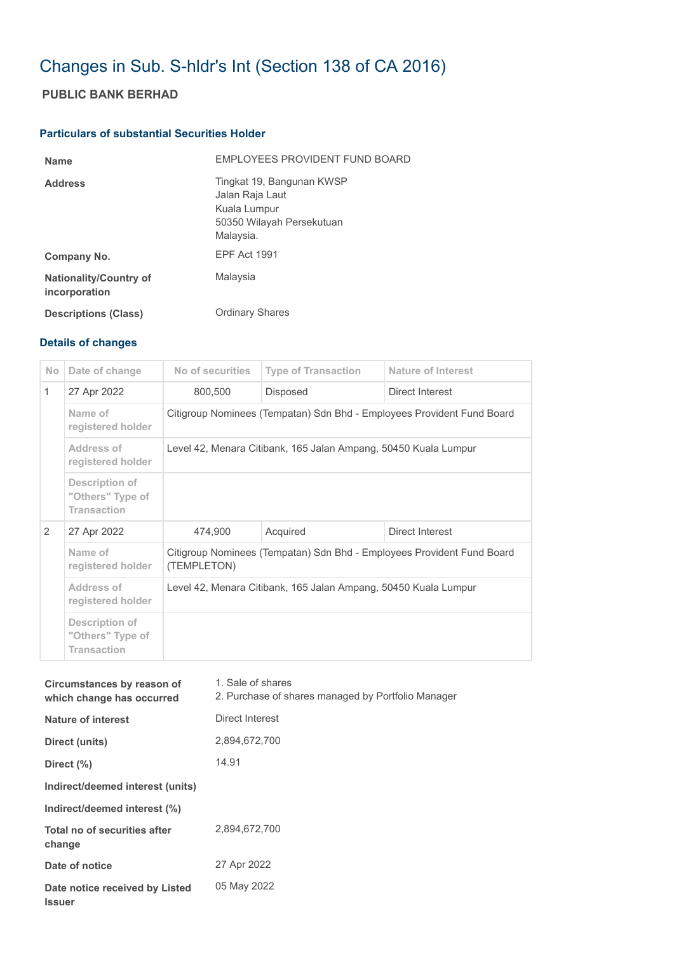## Changes in Sub. S-hldr's Int (Section 138 of CA 2016)

## **PUBLIC BANK BERHAD**

## **Particulars of substantial Securities Holder**

| <b>Name</b>                                    | EMPLOYEES PROVIDENT FUND BOARD                                                                         |
|------------------------------------------------|--------------------------------------------------------------------------------------------------------|
| <b>Address</b>                                 | Tingkat 19, Bangunan KWSP<br>Jalan Raja Laut<br>Kuala Lumpur<br>50350 Wilayah Persekutuan<br>Malaysia. |
| Company No.                                    | <b>EPF Act 1991</b>                                                                                    |
| <b>Nationality/Country of</b><br>incorporation | Malaysia                                                                                               |
| <b>Descriptions (Class)</b>                    | <b>Ordinary Shares</b>                                                                                 |

## **Details of changes**

| N <sub>o</sub> | Date of change                                           | No of securities                                                                      | <b>Type of Transaction</b> | Nature of Interest |  |
|----------------|----------------------------------------------------------|---------------------------------------------------------------------------------------|----------------------------|--------------------|--|
| $\mathbf{1}$   | 27 Apr 2022                                              | 800,500                                                                               | <b>Disposed</b>            | Direct Interest    |  |
|                | Name of<br>registered holder                             | Citigroup Nominees (Tempatan) Sdn Bhd - Employees Provident Fund Board                |                            |                    |  |
|                | Address of<br>registered holder                          | Level 42, Menara Citibank, 165 Jalan Ampang, 50450 Kuala Lumpur                       |                            |                    |  |
|                | Description of<br>"Others" Type of<br><b>Transaction</b> |                                                                                       |                            |                    |  |
| 2              | 27 Apr 2022                                              | 474,900                                                                               | Acquired                   | Direct Interest    |  |
|                | Name of<br>registered holder                             | Citigroup Nominees (Tempatan) Sdn Bhd - Employees Provident Fund Board<br>(TEMPLETON) |                            |                    |  |
|                | Address of<br>registered holder                          | Level 42, Menara Citibank, 165 Jalan Ampang, 50450 Kuala Lumpur                       |                            |                    |  |
|                | Description of<br>"Others" Type of<br><b>Transaction</b> |                                                                                       |                            |                    |  |

| Circumstances by reason of<br>which change has occurred | 1. Sale of shares<br>2. Purchase of shares managed by Portfolio Manager |
|---------------------------------------------------------|-------------------------------------------------------------------------|
| <b>Nature of interest</b>                               | Direct Interest                                                         |
| Direct (units)                                          | 2,894,672,700                                                           |
| Direct (%)                                              | 14.91                                                                   |
| Indirect/deemed interest (units)                        |                                                                         |
| Indirect/deemed interest (%)                            |                                                                         |
| Total no of securities after<br>change                  | 2.894.672.700                                                           |
| Date of notice                                          | 27 Apr 2022                                                             |
| Date notice received by Listed<br><b>Issuer</b>         | 05 May 2022                                                             |